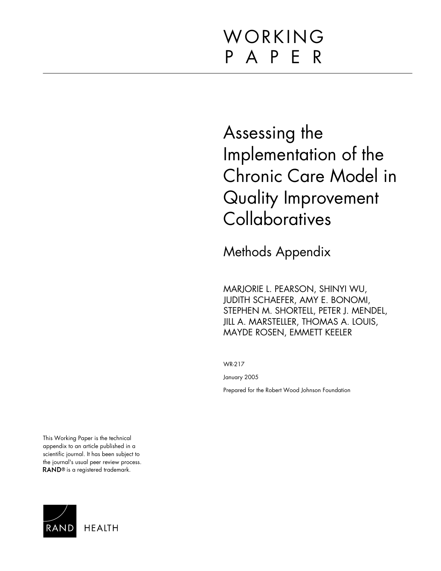# WORKING P A P E R

# Assessing the Implementation of the Chronic Care Model in Quality Improvement **Collaboratives**

Methods Appendix

MARJORIE L. PEARSON, SHINYI WU, JUDITH SCHAEFER, AMY E. BONOMI, STEPHEN M. SHORTELL, PETER J. MENDEL, JILL A. MARSTELLER, THOMAS A. LOUIS, MAYDE ROSEN, EMMETT KEELER

WR-217

January 2005

Prepared for the Robert Wood Johnson Foundation

This Working Paper is the technical appendix to an article published in a scientific journal. It has been subject to the journal's usual peer review process. RAND<sup>®</sup> is a registered trademark.

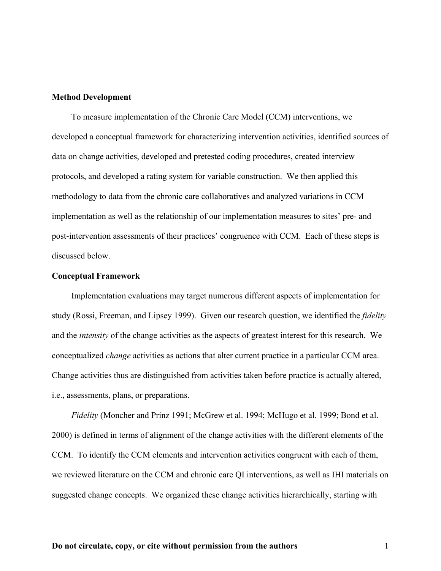## **Method Development**

To measure implementation of the Chronic Care Model (CCM) interventions, we developed a conceptual framework for characterizing intervention activities, identified sources of data on change activities, developed and pretested coding procedures, created interview protocols, and developed a rating system for variable construction. We then applied this methodology to data from the chronic care collaboratives and analyzed variations in CCM implementation as well as the relationship of our implementation measures to sites' pre- and post-intervention assessments of their practices' congruence with CCM. Each of these steps is discussed below.

#### **Conceptual Framework**

Implementation evaluations may target numerous different aspects of implementation for study (Rossi, Freeman, and Lipsey 1999). Given our research question, we identified the *fidelity* and the *intensity* of the change activities as the aspects of greatest interest for this research. We conceptualized *change* activities as actions that alter current practice in a particular CCM area. Change activities thus are distinguished from activities taken before practice is actually altered, i.e., assessments, plans, or preparations.

*Fidelity* (Moncher and Prinz 1991; McGrew et al. 1994; McHugo et al. 1999; Bond et al. 2000) is defined in terms of alignment of the change activities with the different elements of the CCM. To identify the CCM elements and intervention activities congruent with each of them, we reviewed literature on the CCM and chronic care QI interventions, as well as IHI materials on suggested change concepts. We organized these change activities hierarchically, starting with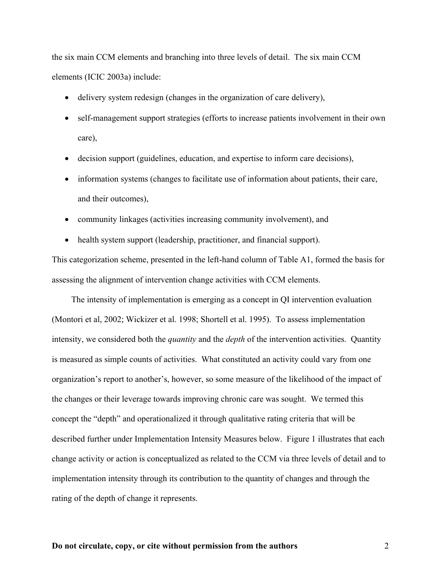the six main CCM elements and branching into three levels of detail. The six main CCM elements (ICIC 2003a) include:

- delivery system redesign (changes in the organization of care delivery),
- self-management support strategies (efforts to increase patients involvement in their own care),
- decision support (guidelines, education, and expertise to inform care decisions),
- information systems (changes to facilitate use of information about patients, their care, and their outcomes),
- community linkages (activities increasing community involvement), and
- health system support (leadership, practitioner, and financial support).

This categorization scheme, presented in the left-hand column of Table A1, formed the basis for assessing the alignment of intervention change activities with CCM elements.

The intensity of implementation is emerging as a concept in QI intervention evaluation (Montori et al, 2002; Wickizer et al. 1998; Shortell et al. 1995). To assess implementation intensity, we considered both the *quantity* and the *depth* of the intervention activities. Quantity is measured as simple counts of activities. What constituted an activity could vary from one organization's report to another's, however, so some measure of the likelihood of the impact of the changes or their leverage towards improving chronic care was sought. We termed this concept the "depth" and operationalized it through qualitative rating criteria that will be described further under Implementation Intensity Measures below. Figure 1 illustrates that each change activity or action is conceptualized as related to the CCM via three levels of detail and to implementation intensity through its contribution to the quantity of changes and through the rating of the depth of change it represents.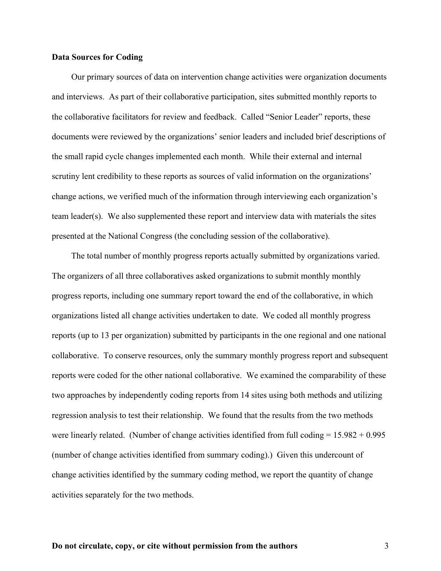## **Data Sources for Coding**

Our primary sources of data on intervention change activities were organization documents and interviews. As part of their collaborative participation, sites submitted monthly reports to the collaborative facilitators for review and feedback. Called "Senior Leader" reports, these documents were reviewed by the organizations' senior leaders and included brief descriptions of the small rapid cycle changes implemented each month. While their external and internal scrutiny lent credibility to these reports as sources of valid information on the organizations' change actions, we verified much of the information through interviewing each organization's team leader(s). We also supplemented these report and interview data with materials the sites presented at the National Congress (the concluding session of the collaborative).

The total number of monthly progress reports actually submitted by organizations varied. The organizers of all three collaboratives asked organizations to submit monthly monthly progress reports, including one summary report toward the end of the collaborative, in which organizations listed all change activities undertaken to date. We coded all monthly progress reports (up to 13 per organization) submitted by participants in the one regional and one national collaborative. To conserve resources, only the summary monthly progress report and subsequent reports were coded for the other national collaborative. We examined the comparability of these two approaches by independently coding reports from 14 sites using both methods and utilizing regression analysis to test their relationship. We found that the results from the two methods were linearly related. (Number of change activities identified from full coding  $= 15.982 + 0.995$ (number of change activities identified from summary coding).) Given this undercount of change activities identified by the summary coding method, we report the quantity of change activities separately for the two methods.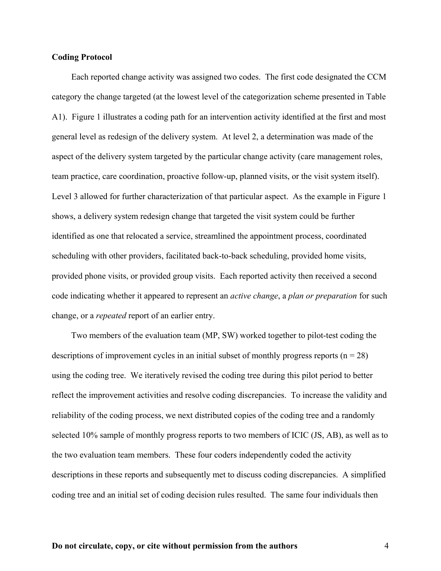## **Coding Protocol**

Each reported change activity was assigned two codes. The first code designated the CCM category the change targeted (at the lowest level of the categorization scheme presented in Table A1). Figure 1 illustrates a coding path for an intervention activity identified at the first and most general level as redesign of the delivery system. At level 2, a determination was made of the aspect of the delivery system targeted by the particular change activity (care management roles, team practice, care coordination, proactive follow-up, planned visits, or the visit system itself). Level 3 allowed for further characterization of that particular aspect. As the example in Figure 1 shows, a delivery system redesign change that targeted the visit system could be further identified as one that relocated a service, streamlined the appointment process, coordinated scheduling with other providers, facilitated back-to-back scheduling, provided home visits, provided phone visits, or provided group visits. Each reported activity then received a second code indicating whether it appeared to represent an *active change*, a *plan or preparation* for such change, or a *repeated* report of an earlier entry.

Two members of the evaluation team (MP, SW) worked together to pilot-test coding the descriptions of improvement cycles in an initial subset of monthly progress reports ( $n = 28$ ) using the coding tree. We iteratively revised the coding tree during this pilot period to better reflect the improvement activities and resolve coding discrepancies. To increase the validity and reliability of the coding process, we next distributed copies of the coding tree and a randomly selected 10% sample of monthly progress reports to two members of ICIC (JS, AB), as well as to the two evaluation team members. These four coders independently coded the activity descriptions in these reports and subsequently met to discuss coding discrepancies. A simplified coding tree and an initial set of coding decision rules resulted. The same four individuals then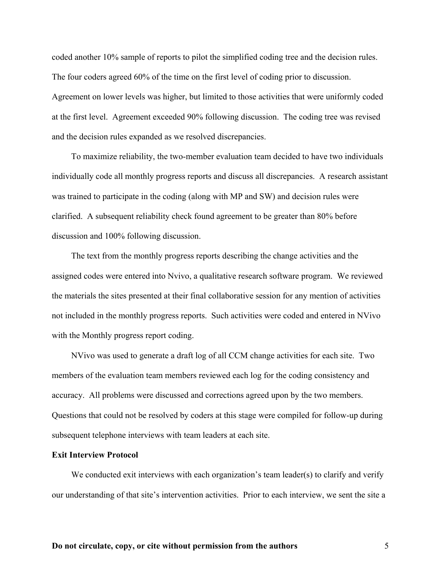coded another 10% sample of reports to pilot the simplified coding tree and the decision rules. The four coders agreed 60% of the time on the first level of coding prior to discussion. Agreement on lower levels was higher, but limited to those activities that were uniformly coded at the first level. Agreement exceeded 90% following discussion. The coding tree was revised and the decision rules expanded as we resolved discrepancies.

To maximize reliability, the two-member evaluation team decided to have two individuals individually code all monthly progress reports and discuss all discrepancies. A research assistant was trained to participate in the coding (along with MP and SW) and decision rules were clarified. A subsequent reliability check found agreement to be greater than 80% before discussion and 100% following discussion.

The text from the monthly progress reports describing the change activities and the assigned codes were entered into Nvivo, a qualitative research software program. We reviewed the materials the sites presented at their final collaborative session for any mention of activities not included in the monthly progress reports. Such activities were coded and entered in NVivo with the Monthly progress report coding.

NVivo was used to generate a draft log of all CCM change activities for each site. Two members of the evaluation team members reviewed each log for the coding consistency and accuracy. All problems were discussed and corrections agreed upon by the two members. Questions that could not be resolved by coders at this stage were compiled for follow-up during subsequent telephone interviews with team leaders at each site.

## **Exit Interview Protocol**

We conducted exit interviews with each organization's team leader(s) to clarify and verify our understanding of that site's intervention activities. Prior to each interview, we sent the site a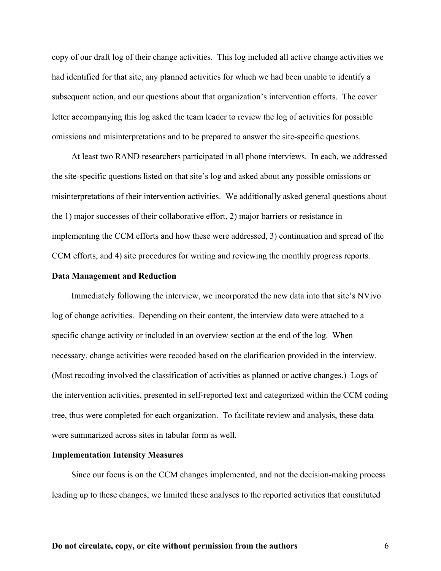copy of our draft log of their change activities. This log included all active change activities we had identified for that site, any planned activities for which we had been unable to identify a subsequent action, and our questions about that organization's intervention efforts. The cover letter accompanying this log asked the team leader to review the log of activities for possible omissions and misinterpretations and to be prepared to answer the site-specific questions.

At least two RAND researchers participated in all phone interviews. In each, we addressed the site-specific questions listed on that site's log and asked about any possible omissions or misinterpretations of their intervention activities. We additionally asked general questions about the 1) major successes of their collaborative effort, 2) major barriers or resistance in implementing the CCM efforts and how these were addressed, 3) continuation and spread of the CCM efforts, and 4) site procedures for writing and reviewing the monthly progress reports.

## **Data Management and Reduction**

Immediately following the interview, we incorporated the new data into that site's NVivo log of change activities. Depending on their content, the interview data were attached to a specific change activity or included in an overview section at the end of the log. When necessary, change activities were recoded based on the clarification provided in the interview. (Most recoding involved the classification of activities as planned or active changes.) Logs of the intervention activities, presented in self-reported text and categorized within the CCM coding tree, thus were completed for each organization. To facilitate review and analysis, these data were summarized across sites in tabular form as well.

#### **Implementation Intensity Measures**

Since our focus is on the CCM changes implemented, and not the decision-making process leading up to these changes, we limited these analyses to the reported activities that constituted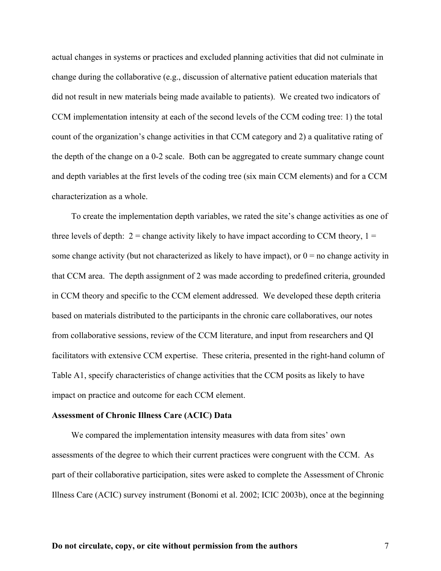actual changes in systems or practices and excluded planning activities that did not culminate in change during the collaborative (e.g., discussion of alternative patient education materials that did not result in new materials being made available to patients). We created two indicators of CCM implementation intensity at each of the second levels of the CCM coding tree: 1) the total count of the organization's change activities in that CCM category and 2) a qualitative rating of the depth of the change on a 0-2 scale. Both can be aggregated to create summary change count and depth variables at the first levels of the coding tree (six main CCM elements) and for a CCM characterization as a whole.

To create the implementation depth variables, we rated the site's change activities as one of three levels of depth:  $2 =$  change activity likely to have impact according to CCM theory,  $1 =$ some change activity (but not characterized as likely to have impact), or  $0 =$  no change activity in that CCM area. The depth assignment of 2 was made according to predefined criteria, grounded in CCM theory and specific to the CCM element addressed. We developed these depth criteria based on materials distributed to the participants in the chronic care collaboratives, our notes from collaborative sessions, review of the CCM literature, and input from researchers and QI facilitators with extensive CCM expertise. These criteria, presented in the right-hand column of Table A1, specify characteristics of change activities that the CCM posits as likely to have impact on practice and outcome for each CCM element.

#### **Assessment of Chronic Illness Care (ACIC) Data**

We compared the implementation intensity measures with data from sites' own assessments of the degree to which their current practices were congruent with the CCM. As part of their collaborative participation, sites were asked to complete the Assessment of Chronic Illness Care (ACIC) survey instrument (Bonomi et al. 2002; ICIC 2003b), once at the beginning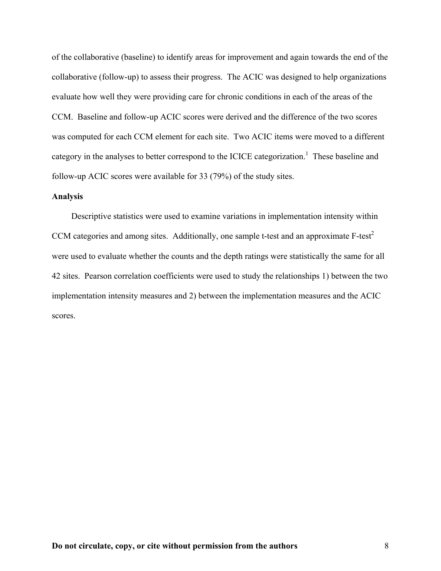of the collaborative (baseline) to identify areas for improvement and again towards the end of the collaborative (follow-up) to assess their progress. The ACIC was designed to help organizations evaluate how well they were providing care for chronic conditions in each of the areas of the CCM. Baseline and follow-up ACIC scores were derived and the difference of the two scores was computed for each CCM element for each site. Two ACIC items were moved to a different category in the analyses to better correspond to the ICICE categorization.<sup>1</sup> These baseline and follow-up ACIC scores were available for 33 (79%) of the study sites.

## **Analysis**

Descriptive statistics were used to examine variations in implementation intensity within CCM categories and among sites. Additionally, one sample t-test and an approximate F-test<sup>2</sup> were used to evaluate whether the counts and the depth ratings were statistically the same for all 42 sites. Pearson correlation coefficients were used to study the relationships 1) between the two implementation intensity measures and 2) between the implementation measures and the ACIC scores.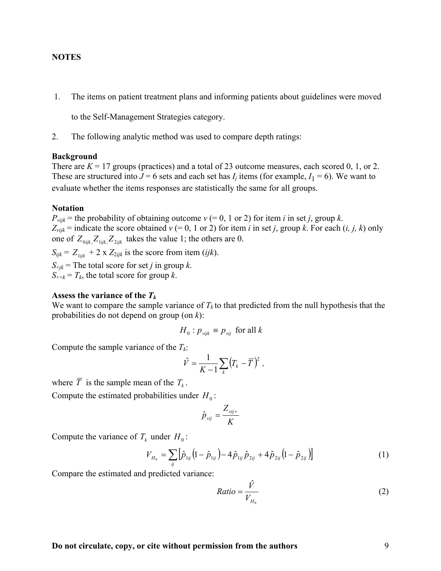## **NOTES**

1. The items on patient treatment plans and informing patients about guidelines were moved

to the Self-Management Strategies category.

2. The following analytic method was used to compare depth ratings:

#### **Background**

There are  $K = 17$  groups (practices) and a total of 23 outcome measures, each scored 0, 1, or 2. These are structured into  $J = 6$  sets and each set has  $I_i$  items (for example,  $I_1 = 6$ ). We want to evaluate whether the items responses are statistically the same for all groups.

#### **Notation**

 $P_{vijk}$  = the probability of obtaining outcome  $v$  (= 0, 1 or 2) for item *i* in set *j*, group *k*.  $Z_{vijk}$  = indicate the score obtained  $v$  (= 0, 1 or 2) for item *i* in set *j*, group *k*. For each (*i, j, k*) only one of  $Z_{0ijk} Z_{1ijk} Z_{2ijk}$  takes the value 1; the others are 0.

 $S_{ijk} = Z_{1ijk} + 2 \times Z_{2ijk}$  is the score from item (*ijk*).  $S_{\text{th}}$  = The total score for set *j* in group *k*.

 $S_{\text{H+}k} = T_k$ , the total score for group *k*.

## **Assess the variance of the** *Tk*

We want to compare the sample variance of  $T_k$  to that predicted from the null hypothesis that the probabilities do not depend on group (on *k*):

$$
H_0: p_{vijk} \equiv p_{vij} \text{ for all } k
$$

Compute the sample variance of the  $T_k$ :

$$
\hat{V} = \frac{1}{K-1} \sum_{k} (T_k - \overline{T})^2 ,
$$

where  $\overline{T}$  is the sample mean of the  $T_k$ .

Compute the estimated probabilities under  $H_0$ :

$$
\hat{p}_{\text{vij}} = \frac{Z_{\text{vij+}}}{K}
$$

Compute the variance of  $T_k$  under  $H_0$ :

$$
V_{H_0} = \sum_{ij} \left[ \hat{p}_{1ij} \left( 1 - \hat{p}_{1ij} \right) - 4 \hat{p}_{1ij} \hat{p}_{2ij} + 4 \hat{p}_{2ij} \left( 1 - \hat{p}_{2ij} \right) \right]
$$
(1)

Compare the estimated and predicted variance:

$$
Ratio = \frac{\hat{V}}{V_{H_0}}
$$
 (2)

## **Do not circulate, copy, or cite without permission from the authors** 9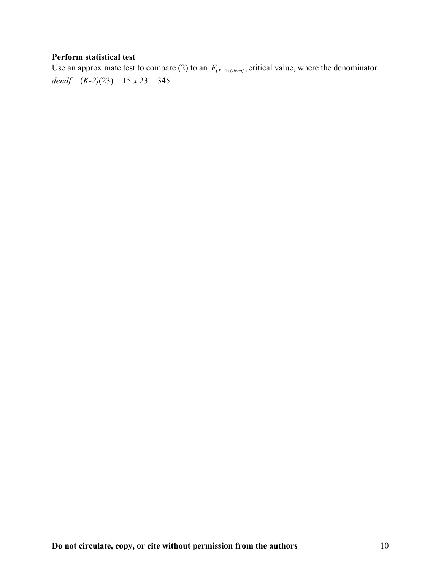## **Perform statistical test**

Use an approximate test to compare (2) to an  $F_{(K-1),(dendf)}$  critical value, where the denominator *dendf* =  $(K-2)(23) = 15 \times 23 = 345$ .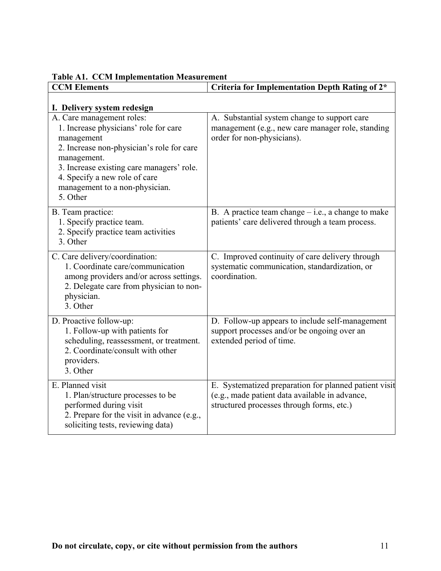| <b>CCM Elements</b>                                                                                                                                                                                                                                                      | Criteria for Implementation Depth Rating of 2*                                                                                                       |
|--------------------------------------------------------------------------------------------------------------------------------------------------------------------------------------------------------------------------------------------------------------------------|------------------------------------------------------------------------------------------------------------------------------------------------------|
| I. Delivery system redesign                                                                                                                                                                                                                                              |                                                                                                                                                      |
| A. Care management roles:<br>1. Increase physicians' role for care<br>management<br>2. Increase non-physician's role for care<br>management.<br>3. Increase existing care managers' role.<br>4. Specify a new role of care<br>management to a non-physician.<br>5. Other | A. Substantial system change to support care<br>management (e.g., new care manager role, standing<br>order for non-physicians).                      |
| B. Team practice:<br>1. Specify practice team.<br>2. Specify practice team activities<br>3. Other                                                                                                                                                                        | B. A practice team change $-$ i.e., a change to make<br>patients' care delivered through a team process.                                             |
| C. Care delivery/coordination:<br>1. Coordinate care/communication<br>among providers and/or across settings.<br>2. Delegate care from physician to non-<br>physician.<br>3. Other                                                                                       | C. Improved continuity of care delivery through<br>systematic communication, standardization, or<br>coordination.                                    |
| D. Proactive follow-up:<br>1. Follow-up with patients for<br>scheduling, reassessment, or treatment.<br>2. Coordinate/consult with other<br>providers.<br>3. Other                                                                                                       | D. Follow-up appears to include self-management<br>support processes and/or be ongoing over an<br>extended period of time.                           |
| E. Planned visit<br>1. Plan/structure processes to be<br>performed during visit<br>2. Prepare for the visit in advance (e.g.,<br>soliciting tests, reviewing data)                                                                                                       | E. Systematized preparation for planned patient visit<br>(e.g., made patient data available in advance,<br>structured processes through forms, etc.) |

**Table A1. CCM Implementation Measurement**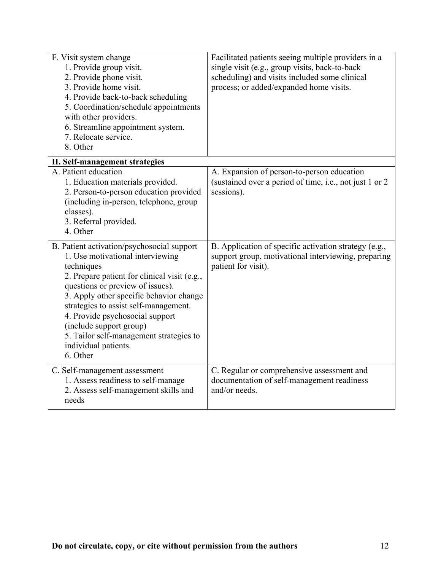| F. Visit system change<br>1. Provide group visit.<br>2. Provide phone visit.<br>3. Provide home visit.<br>4. Provide back-to-back scheduling<br>5. Coordination/schedule appointments<br>with other providers.<br>6. Streamline appointment system.<br>7. Relocate service.<br>8. Other                                                                                                                           | Facilitated patients seeing multiple providers in a<br>single visit (e.g., group visits, back-to-back<br>scheduling) and visits included some clinical<br>process; or added/expanded home visits. |
|-------------------------------------------------------------------------------------------------------------------------------------------------------------------------------------------------------------------------------------------------------------------------------------------------------------------------------------------------------------------------------------------------------------------|---------------------------------------------------------------------------------------------------------------------------------------------------------------------------------------------------|
| II. Self-management strategies                                                                                                                                                                                                                                                                                                                                                                                    |                                                                                                                                                                                                   |
| A. Patient education<br>1. Education materials provided.<br>2. Person-to-person education provided<br>(including in-person, telephone, group<br>classes).<br>3. Referral provided.<br>4. Other                                                                                                                                                                                                                    | A. Expansion of person-to-person education<br>(sustained over a period of time, i.e., not just 1 or 2)<br>sessions).                                                                              |
| B. Patient activation/psychosocial support<br>1. Use motivational interviewing<br>techniques<br>2. Prepare patient for clinical visit (e.g.,<br>questions or preview of issues).<br>3. Apply other specific behavior change<br>strategies to assist self-management.<br>4. Provide psychosocial support<br>(include support group)<br>5. Tailor self-management strategies to<br>individual patients.<br>6. Other | B. Application of specific activation strategy (e.g.,<br>support group, motivational interviewing, preparing<br>patient for visit).                                                               |
| C. Self-management assessment<br>1. Assess readiness to self-manage<br>2. Assess self-management skills and<br>needs                                                                                                                                                                                                                                                                                              | C. Regular or comprehensive assessment and<br>documentation of self-management readiness<br>and/or needs.                                                                                         |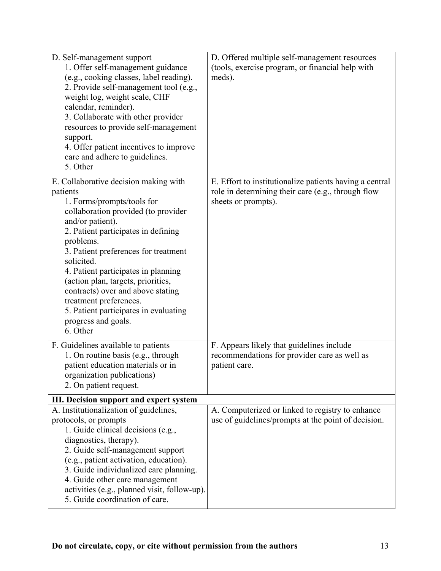| D. Self-management support<br>1. Offer self-management guidance<br>(e.g., cooking classes, label reading).<br>2. Provide self-management tool (e.g.,<br>weight log, weight scale, CHF<br>calendar, reminder).<br>3. Collaborate with other provider<br>resources to provide self-management                                                                                                                                                                                  | D. Offered multiple self-management resources<br>(tools, exercise program, or financial help with<br>meds).                          |
|------------------------------------------------------------------------------------------------------------------------------------------------------------------------------------------------------------------------------------------------------------------------------------------------------------------------------------------------------------------------------------------------------------------------------------------------------------------------------|--------------------------------------------------------------------------------------------------------------------------------------|
| support.<br>4. Offer patient incentives to improve<br>care and adhere to guidelines.<br>5. Other                                                                                                                                                                                                                                                                                                                                                                             |                                                                                                                                      |
| E. Collaborative decision making with<br>patients<br>1. Forms/prompts/tools for<br>collaboration provided (to provider<br>and/or patient).<br>2. Patient participates in defining<br>problems.<br>3. Patient preferences for treatment<br>solicited.<br>4. Patient participates in planning<br>(action plan, targets, priorities,<br>contracts) over and above stating<br>treatment preferences.<br>5. Patient participates in evaluating<br>progress and goals.<br>6. Other | E. Effort to institutionalize patients having a central<br>role in determining their care (e.g., through flow<br>sheets or prompts). |
| F. Guidelines available to patients<br>1. On routine basis (e.g., through<br>patient education materials or in<br>organization publications)<br>2. On patient request.                                                                                                                                                                                                                                                                                                       | F. Appears likely that guidelines include<br>recommendations for provider care as well as<br>patient care.                           |
| III. Decision support and expert system<br>A. Institutionalization of guidelines,<br>protocols, or prompts<br>1. Guide clinical decisions (e.g.,<br>diagnostics, therapy).<br>2. Guide self-management support<br>(e.g., patient activation, education).<br>3. Guide individualized care planning.<br>4. Guide other care management<br>activities (e.g., planned visit, follow-up).<br>5. Guide coordination of care.                                                       | A. Computerized or linked to registry to enhance<br>use of guidelines/prompts at the point of decision.                              |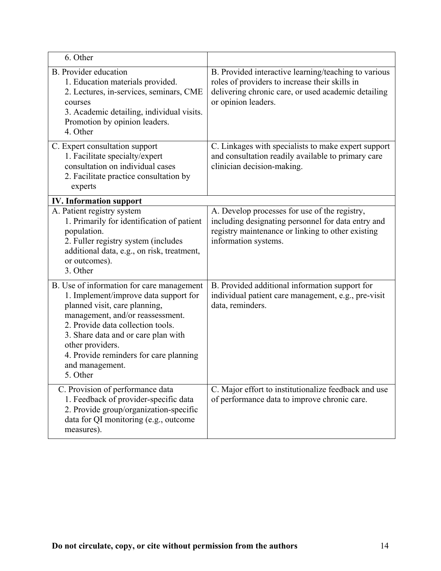| 6. Other                                                                                                                                                                                                                                                                                                                         |                                                                                                                                                                                      |
|----------------------------------------------------------------------------------------------------------------------------------------------------------------------------------------------------------------------------------------------------------------------------------------------------------------------------------|--------------------------------------------------------------------------------------------------------------------------------------------------------------------------------------|
| <b>B.</b> Provider education<br>1. Education materials provided.<br>2. Lectures, in-services, seminars, CME<br>courses<br>3. Academic detailing, individual visits.<br>Promotion by opinion leaders.<br>4. Other                                                                                                                 | B. Provided interactive learning/teaching to various<br>roles of providers to increase their skills in<br>delivering chronic care, or used academic detailing<br>or opinion leaders. |
| C. Expert consultation support<br>1. Facilitate specialty/expert<br>consultation on individual cases<br>2. Facilitate practice consultation by<br>experts                                                                                                                                                                        | C. Linkages with specialists to make expert support<br>and consultation readily available to primary care<br>clinician decision-making.                                              |
| <b>IV.</b> Information support                                                                                                                                                                                                                                                                                                   |                                                                                                                                                                                      |
| A. Patient registry system<br>1. Primarily for identification of patient<br>population.<br>2. Fuller registry system (includes<br>additional data, e.g., on risk, treatment,<br>or outcomes).<br>3. Other                                                                                                                        | A. Develop processes for use of the registry,<br>including designating personnel for data entry and<br>registry maintenance or linking to other existing<br>information systems.     |
| B. Use of information for care management<br>1. Implement/improve data support for<br>planned visit, care planning,<br>management, and/or reassessment.<br>2. Provide data collection tools.<br>3. Share data and or care plan with<br>other providers.<br>4. Provide reminders for care planning<br>and management.<br>5. Other | B. Provided additional information support for<br>individual patient care management, e.g., pre-visit<br>data, reminders.                                                            |
| C. Provision of performance data<br>1. Feedback of provider-specific data<br>2. Provide group/organization-specific<br>data for QI monitoring (e.g., outcome<br>measures).                                                                                                                                                       | C. Major effort to institutionalize feedback and use<br>of performance data to improve chronic care.                                                                                 |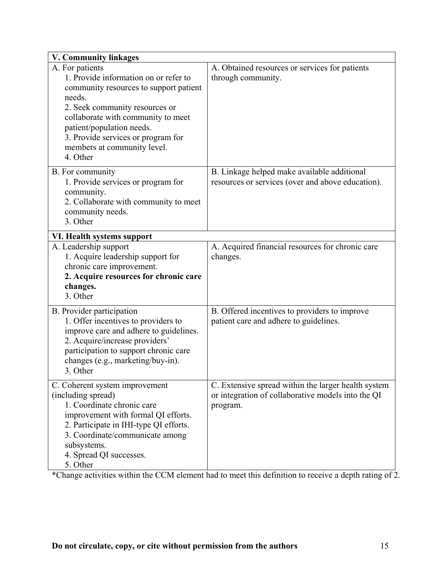| <b>V. Community linkages</b>                                                                                                                                                                                                                                                                       |                                                                                                                       |
|----------------------------------------------------------------------------------------------------------------------------------------------------------------------------------------------------------------------------------------------------------------------------------------------------|-----------------------------------------------------------------------------------------------------------------------|
| A. For patients<br>1. Provide information on or refer to<br>community resources to support patient<br>needs.<br>2. Seek community resources or<br>collaborate with community to meet<br>patient/population needs.<br>3. Provide services or program for<br>members at community level.<br>4. Other | A. Obtained resources or services for patients<br>through community.                                                  |
| B. For community<br>1. Provide services or program for<br>community.<br>2. Collaborate with community to meet<br>community needs.<br>3. Other                                                                                                                                                      | B. Linkage helped make available additional<br>resources or services (over and above education).                      |
| VI. Health systems support<br>A. Leadership support<br>1. Acquire leadership support for<br>chronic care improvement.<br>2. Acquire resources for chronic care<br>changes.<br>3. Other                                                                                                             | A. Acquired financial resources for chronic care<br>changes.                                                          |
| B. Provider participation<br>1. Offer incentives to providers to<br>improve care and adhere to guidelines.<br>2. Acquire/increase providers'<br>participation to support chronic care<br>changes (e.g., marketing/buy-in).<br>3. Other                                                             | B. Offered incentives to providers to improve<br>patient care and adhere to guidelines.                               |
| C. Coherent system improvement<br>(including spread)<br>1. Coordinate chronic care<br>improvement with formal QI efforts.<br>2. Participate in IHI-type QI efforts.<br>3. Coordinate/communicate among<br>subsystems.<br>4. Spread QI successes.<br>5. Other                                       | C. Extensive spread within the larger health system<br>or integration of collaborative models into the QI<br>program. |

\*Change activities within the CCM element had to meet this definition to receive a depth rating of 2.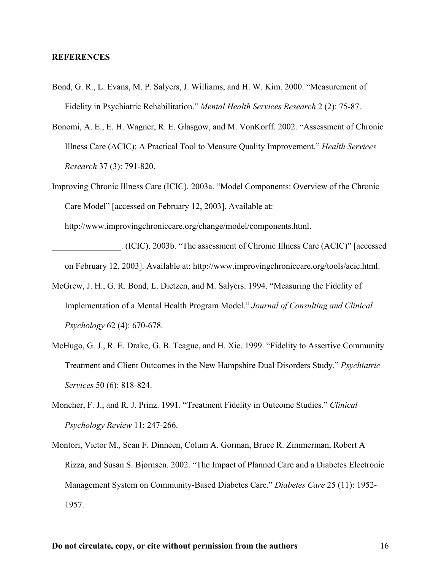## **REFERENCES**

- Bond, G. R., L. Evans, M. P. Salyers, J. Williams, and H. W. Kim. 2000. "Measurement of Fidelity in Psychiatric Rehabilitation." *Mental Health Services Research* 2 (2): 75-87.
- Bonomi, A. E., E. H. Wagner, R. E. Glasgow, and M. VonKorff. 2002. "Assessment of Chronic Illness Care (ACIC): A Practical Tool to Measure Quality Improvement." *Health Services Research* 37 (3): 791-820.
- Improving Chronic Illness Care (ICIC). 2003a. "Model Components: Overview of the Chronic Care Model" [accessed on February 12, 2003]. Available at:

http://www.improvingchroniccare.org/change/model/components.html.

- \_\_\_\_\_\_\_\_\_\_\_\_\_\_\_\_. (ICIC). 2003b. "The assessment of Chronic Illness Care (ACIC)" [accessed on February 12, 2003]. Available at: http://www.improvingchroniccare.org/tools/acic.html.
- McGrew, J. H., G. R. Bond, L. Dietzen, and M. Salyers. 1994. "Measuring the Fidelity of Implementation of a Mental Health Program Model." *Journal of Consulting and Clinical Psychology* 62 (4): 670-678.
- McHugo, G. J., R. E. Drake, G. B. Teague, and H. Xie. 1999. "Fidelity to Assertive Community Treatment and Client Outcomes in the New Hampshire Dual Disorders Study." *Psychiatric Services* 50 (6): 818-824.
- Moncher, F. J., and R. J. Prinz. 1991. "Treatment Fidelity in Outcome Studies." *Clinical Psychology Review* 11: 247-266.
- Montori, Victor M., Sean F. Dinneen, Colum A. Gorman, Bruce R. Zimmerman, Robert A Rizza, and Susan S. Bjornsen. 2002. "The Impact of Planned Care and a Diabetes Electronic Management System on Community-Based Diabetes Care." *Diabetes Care* 25 (11): 1952- 1957.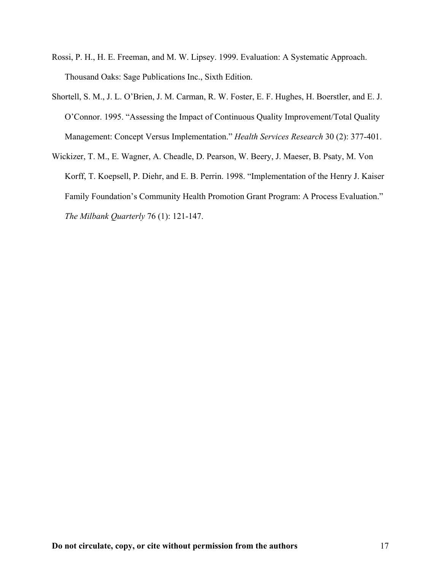- Rossi, P. H., H. E. Freeman, and M. W. Lipsey. 1999. Evaluation: A Systematic Approach. Thousand Oaks: Sage Publications Inc., Sixth Edition.
- Shortell, S. M., J. L. O'Brien, J. M. Carman, R. W. Foster, E. F. Hughes, H. Boerstler, and E. J. O'Connor. 1995. "Assessing the Impact of Continuous Quality Improvement/Total Quality Management: Concept Versus Implementation." *Health Services Research* 30 (2): 377-401.
- Wickizer, T. M., E. Wagner, A. Cheadle, D. Pearson, W. Beery, J. Maeser, B. Psaty, M. Von Korff, T. Koepsell, P. Diehr, and E. B. Perrin. 1998. "Implementation of the Henry J. Kaiser Family Foundation's Community Health Promotion Grant Program: A Process Evaluation." *The Milbank Quarterly* 76 (1): 121-147.